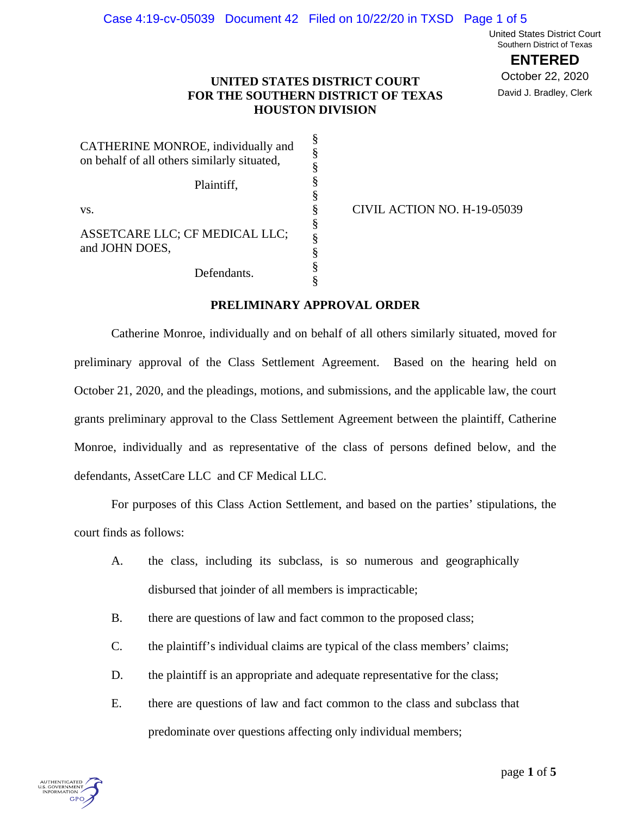United States District Court Southern District of Texas

**ENTERED**

October 22, 2020 David J. Bradley, Clerk

## **UNITED STATES DISTRICT COURT FOR THE SOUTHERN DISTRICT OF TEXAS HOUSTON DIVISION**

| CATHERINE MONROE, individually and<br>on behalf of all others similarly situated, | §<br>§<br>§ |
|-----------------------------------------------------------------------------------|-------------|
| Plaintiff,                                                                        | §<br>§      |
| VS.                                                                               | §           |
| ASSETCARE LLC; CF MEDICAL LLC;<br>and JOHN DOES,                                  | §<br>§<br>§ |
| Defendants.                                                                       |             |

CIVIL ACTION NO. H-19-05039

## **PRELIMINARY APPROVAL ORDER**

§

Catherine Monroe, individually and on behalf of all others similarly situated, moved for preliminary approval of the Class Settlement Agreement. Based on the hearing held on October 21, 2020, and the pleadings, motions, and submissions, and the applicable law, the court grants preliminary approval to the Class Settlement Agreement between the plaintiff, Catherine Monroe, individually and as representative of the class of persons defined below, and the defendants, AssetCare LLC and CF Medical LLC.

For purposes of this Class Action Settlement, and based on the parties' stipulations, the court finds as follows:

- A. the class, including its subclass, is so numerous and geographically disbursed that joinder of all members is impracticable;
- B. there are questions of law and fact common to the proposed class;
- C. the plaintiff's individual claims are typical of the class members' claims;
- D. the plaintiff is an appropriate and adequate representative for the class;
- E. there are questions of law and fact common to the class and subclass that predominate over questions affecting only individual members;

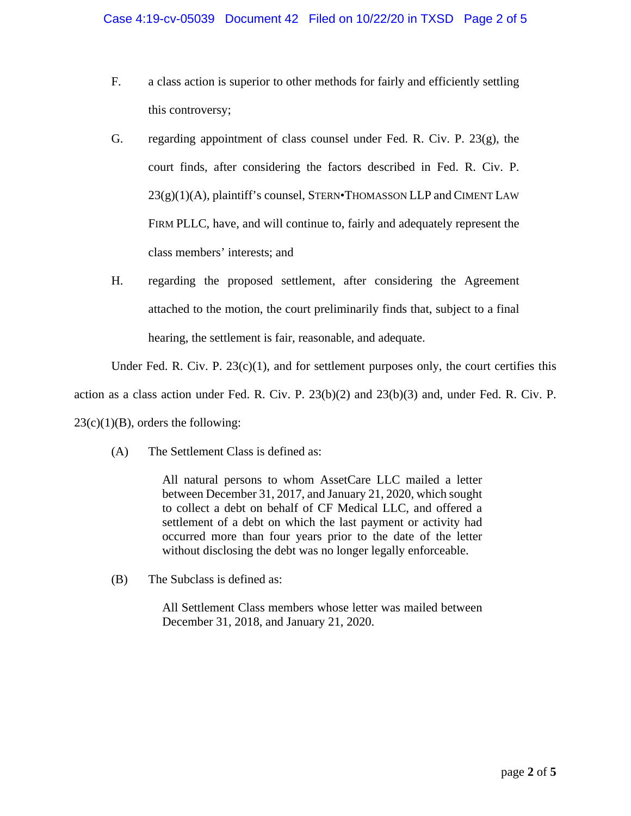- F. a class action is superior to other methods for fairly and efficiently settling this controversy;
- G. regarding appointment of class counsel under Fed. R. Civ. P.  $23(g)$ , the court finds, after considering the factors described in Fed. R. Civ. P.  $23(g)(1)(A)$ , plaintiff's counsel, STERN•THOMASSON LLP and CIMENT LAW FIRM PLLC, have, and will continue to, fairly and adequately represent the class members' interests; and
- H. regarding the proposed settlement, after considering the Agreement attached to the motion, the court preliminarily finds that, subject to a final hearing, the settlement is fair, reasonable, and adequate.

Under Fed. R. Civ. P.  $23(c)(1)$ , and for settlement purposes only, the court certifies this

action as a class action under Fed. R. Civ. P. 23(b)(2) and 23(b)(3) and, under Fed. R. Civ. P.

 $23(c)(1)(B)$ , orders the following:

(A) The Settlement Class is defined as:

All natural persons to whom AssetCare LLC mailed a letter between December 31, 2017, and January 21, 2020, which sought to collect a debt on behalf of CF Medical LLC, and offered a settlement of a debt on which the last payment or activity had occurred more than four years prior to the date of the letter without disclosing the debt was no longer legally enforceable.

(B) The Subclass is defined as:

All Settlement Class members whose letter was mailed between December 31, 2018, and January 21, 2020.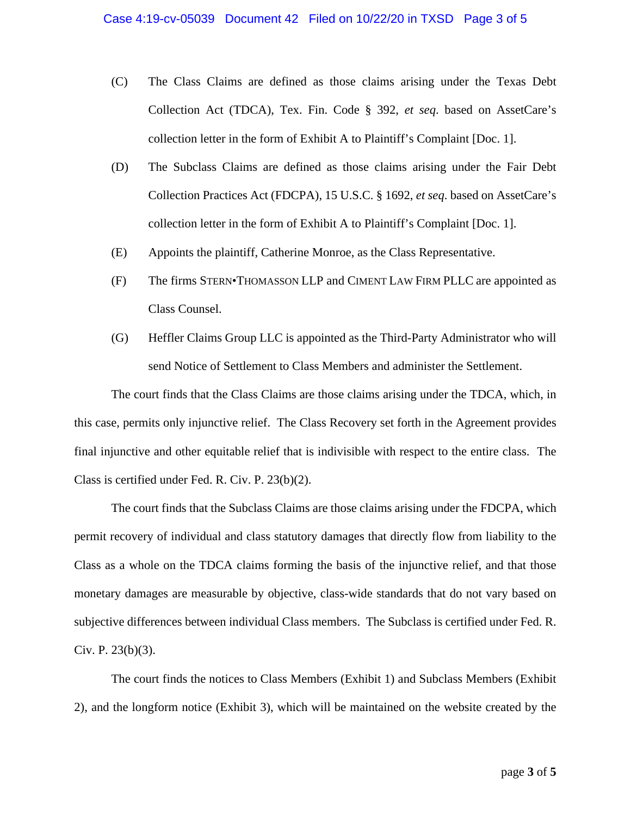- (C) The Class Claims are defined as those claims arising under the Texas Debt Collection Act (TDCA), Tex. Fin. Code § 392, *et seq*. based on AssetCare's collection letter in the form of Exhibit A to Plaintiff's Complaint [Doc. 1].
- (D) The Subclass Claims are defined as those claims arising under the Fair Debt Collection Practices Act (FDCPA), 15 U.S.C. § 1692, *et seq*. based on AssetCare's collection letter in the form of Exhibit A to Plaintiff's Complaint [Doc. 1].
- (E) Appoints the plaintiff, Catherine Monroe, as the Class Representative.
- (F) The firms STERN•THOMASSON LLP and CIMENT LAW FIRM PLLC are appointed as Class Counsel.
- (G) Heffler Claims Group LLC is appointed as the Third-Party Administrator who will send Notice of Settlement to Class Members and administer the Settlement.

The court finds that the Class Claims are those claims arising under the TDCA, which, in this case, permits only injunctive relief. The Class Recovery set forth in the Agreement provides final injunctive and other equitable relief that is indivisible with respect to the entire class. The Class is certified under Fed. R. Civ. P. 23(b)(2).

The court finds that the Subclass Claims are those claims arising under the FDCPA, which permit recovery of individual and class statutory damages that directly flow from liability to the Class as a whole on the TDCA claims forming the basis of the injunctive relief, and that those monetary damages are measurable by objective, class-wide standards that do not vary based on subjective differences between individual Class members. The Subclass is certified under Fed. R. Civ. P.  $23(b)(3)$ .

The court finds the notices to Class Members (Exhibit 1) and Subclass Members (Exhibit 2), and the longform notice (Exhibit 3), which will be maintained on the website created by the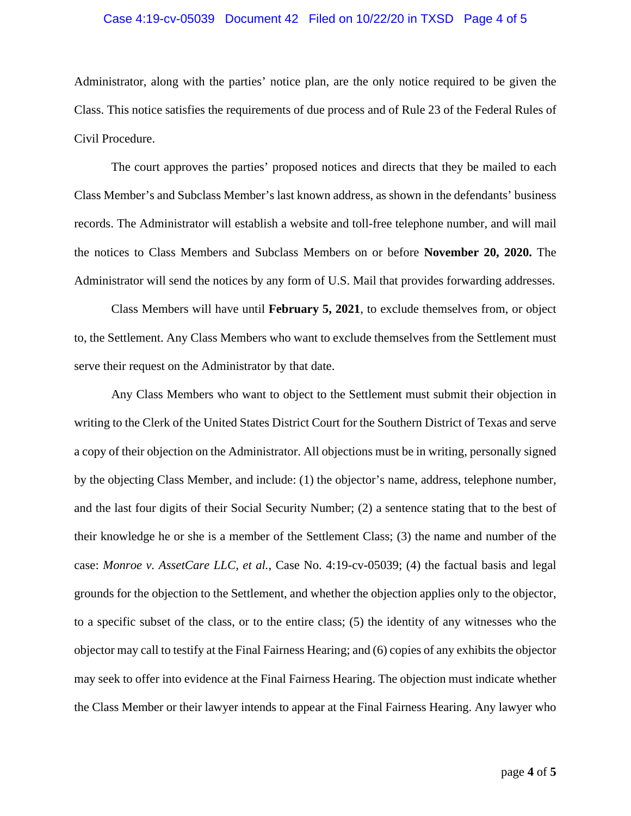## Case 4:19-cv-05039 Document 42 Filed on 10/22/20 in TXSD Page 4 of 5

Administrator, along with the parties' notice plan, are the only notice required to be given the Class. This notice satisfies the requirements of due process and of Rule 23 of the Federal Rules of Civil Procedure.

The court approves the parties' proposed notices and directs that they be mailed to each Class Member's and Subclass Member's last known address, as shown in the defendants' business records. The Administrator will establish a website and toll-free telephone number, and will mail the notices to Class Members and Subclass Members on or before **November 20, 2020.** The Administrator will send the notices by any form of U.S. Mail that provides forwarding addresses.

Class Members will have until **February 5, 2021**, to exclude themselves from, or object to, the Settlement. Any Class Members who want to exclude themselves from the Settlement must serve their request on the Administrator by that date.

Any Class Members who want to object to the Settlement must submit their objection in writing to the Clerk of the United States District Court for the Southern District of Texas and serve a copy of their objection on the Administrator. All objections must be in writing, personally signed by the objecting Class Member, and include: (1) the objector's name, address, telephone number, and the last four digits of their Social Security Number; (2) a sentence stating that to the best of their knowledge he or she is a member of the Settlement Class; (3) the name and number of the case: *Monroe v. AssetCare LLC, et al.*, Case No. 4:19-cv-05039; (4) the factual basis and legal grounds for the objection to the Settlement, and whether the objection applies only to the objector, to a specific subset of the class, or to the entire class; (5) the identity of any witnesses who the objector may call to testify at the Final Fairness Hearing; and (6) copies of any exhibits the objector may seek to offer into evidence at the Final Fairness Hearing. The objection must indicate whether the Class Member or their lawyer intends to appear at the Final Fairness Hearing. Any lawyer who